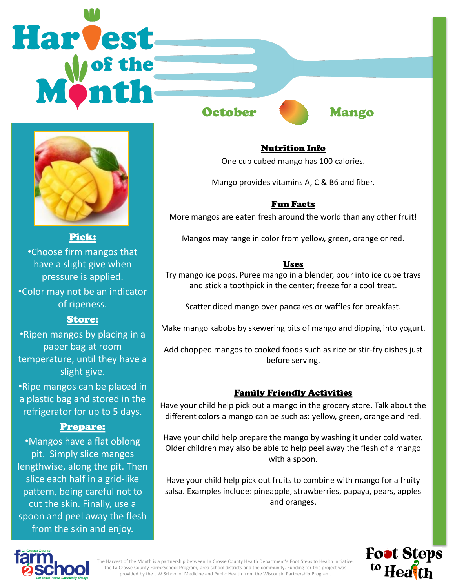# **Harvest**



Pick:

•Choose firm mangos that have a slight give when pressure is applied.

•Color may not be an indicator of ripeness.

# Store:

•Ripen mangos by placing in a paper bag at room temperature, until they have a slight give.

•Ripe mangos can be placed in a plastic bag and stored in the refrigerator for up to 5 days.

# Prepare:

•Mangos have a flat oblong pit. Simply slice mangos lengthwise, along the pit. Then slice each half in a grid-like pattern, being careful not to cut the skin. Finally, use a spoon and peel away the flesh from the skin and enjoy.

October **Mango** 



### Nutrition Info

One cup cubed mango has 100 calories.

Mango provides vitamins A, C & B6 and fiber.

### Fun Facts

More mangos are eaten fresh around the world than any other fruit!

Mangos may range in color from yellow, green, orange or red.

### Uses

Try mango ice pops. Puree mango in a blender, pour into ice cube trays and stick a toothpick in the center; freeze for a cool treat.

Scatter diced mango over pancakes or waffles for breakfast.

Make mango kabobs by skewering bits of mango and dipping into yogurt.

Add chopped mangos to cooked foods such as rice or stir-fry dishes just before serving.

# Family Friendly Activities

Have your child help pick out a mango in the grocery store. Talk about the different colors a mango can be such as: yellow, green, orange and red.

Have your child help prepare the mango by washing it under cold water. Older children may also be able to help peel away the flesh of a mango with a spoon.

Have your child help pick out fruits to combine with mango for a fruity salsa. Examples include: pineapple, strawberries, papaya, pears, apples and oranges.





The Harvest of the Month is a partnership between La Crosse County Health Department's Foot Steps to Health initiative, the La Crosse County Farm2School Program, area school districts and the community. Funding for this project was provided by the UW School of Medicine and Public Health from the Wisconsin Partnership Program.